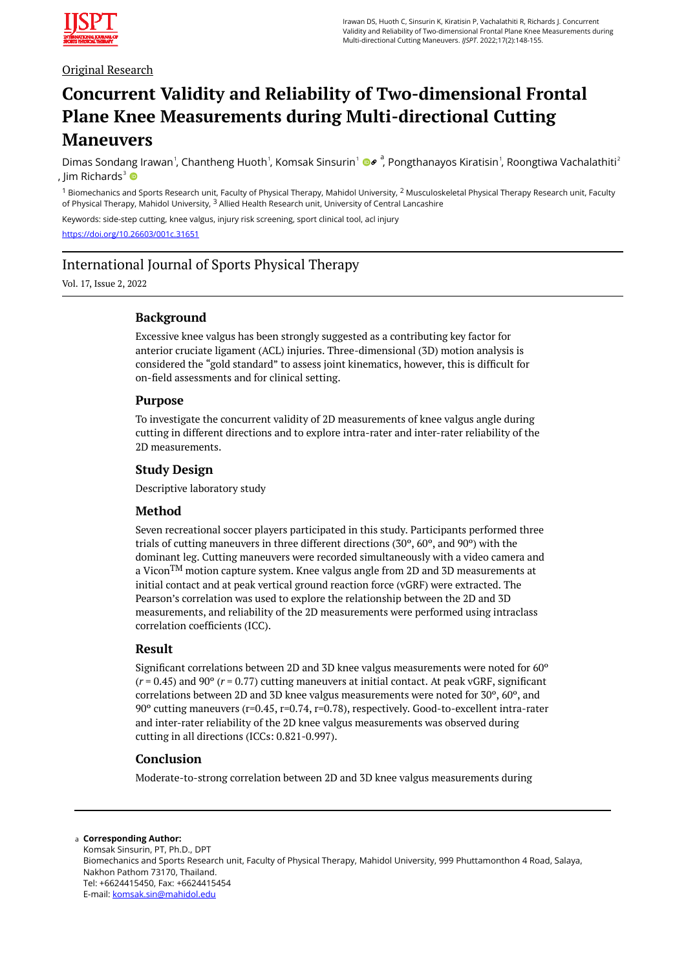

## Original Research

# **Concurrent Validity and Reliability of Two-dimensional Frontal Plane Knee Measurements during Multi-directional Cutting Maneuvers**

Dimas Sondang Irawan<sup>1</sup>, Chantheng Huoth<sup>1</sup>, Komsak Sinsurin<sup>1</sup> ®<sup>e</sup>, Pongthanayos Kiratisin<sup>1</sup>, Roongtiwa Vachalathiti<sup>2</sup> , lim Richards<sup>3</sup>  $\bullet$ 

 $1$  Biomechanics and Sports Research unit, Faculty of Physical Therapy, Mahidol University,  $2$  Musculoskeletal Physical Therapy Research unit, Faculty of Physical Therapy, Mahidol University, <sup>3</sup> Allied Health Research unit, University of Central Lancashire

Keywords: side-step cutting, knee valgus, injury risk screening, sport clinical tool, acl injury

<https://doi.org/10.26603/001c.31651>

## International Journal of Sports Physical Therapy

Vol. 17, Issue 2, 2022

## **Background**

Excessive knee valgus has been strongly suggested as a contributing key factor for anterior cruciate ligament (ACL) injuries. Three-dimensional (3D) motion analysis is considered the "gold standard" to assess joint kinematics, however, this is difficult for on-field assessments and for clinical setting.

## **Purpose**

To investigate the concurrent validity of 2D measurements of knee valgus angle during cutting in different directions and to explore intra-rater and inter-rater reliability of the 2D measurements.

## **Study Design**

Descriptive laboratory study

## **Method**

Seven recreational soccer players participated in this study. Participants performed three trials of cutting maneuvers in three different directions  $(30^{\circ}, 60^{\circ})$ , and  $90^{\circ}$ ) with the dominant leg. Cutting maneuvers were recorded simultaneously with a video camera and a Vicon<sup>TM</sup> motion capture system. Knee valgus angle from 2D and 3D measurements at initial contact and at peak vertical ground reaction force (vGRF) were extracted. The Pearson's correlation was used to explore the relationship between the 2D and 3D measurements, and reliability of the 2D measurements were performed using intraclass correlation coefficients (ICC).

#### **Result**

Significant correlations between 2D and 3D knee valgus measurements were noted for 60º (*r* = 0.45) and 90º (*r* = 0.77) cutting maneuvers at initial contact. At peak vGRF, significant correlations between 2D and 3D knee valgus measurements were noted for 30º, 60º, and 90º cutting maneuvers (r=0.45, r=0.74, r=0.78), respectively. Good-to-excellent intra-rater and inter-rater reliability of the 2D knee valgus measurements was observed during cutting in all directions (ICCs: 0.821-0.997).

## **Conclusion**

Moderate-to-strong correlation between 2D and 3D knee valgus measurements during

#### **Corresponding Author:**  a

Komsak Sinsurin, PT, Ph.D., DPT Biomechanics and Sports Research unit, Faculty of Physical Therapy, Mahidol University, 999 Phuttamonthon 4 Road, Salaya, Nakhon Pathom 73170, Thailand. Tel: +6624415450, Fax: +6624415454 E-mail: [komsak.sin@mahidol.edu](mailto:komsak.sin@mahidol.edu)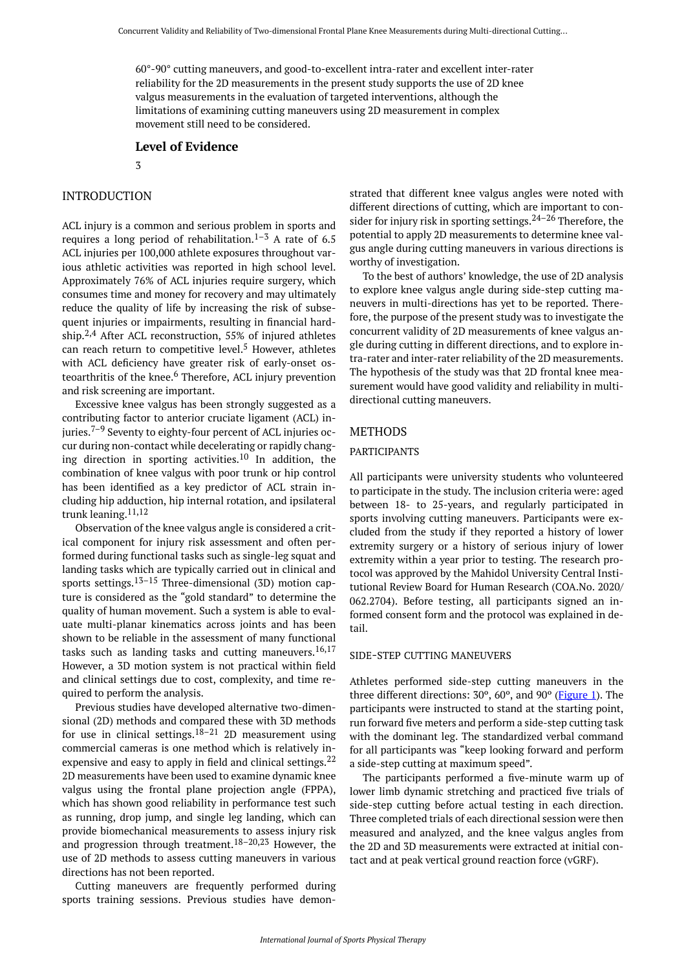60°-90° cutting maneuvers, and good-to-excellent intra-rater and excellent inter-rater reliability for the 2D measurements in the present study supports the use of 2D knee valgus measurements in the evaluation of targeted interventions, although the limitations of examining cutting maneuvers using 2D measurement in complex movement still need to be considered.

#### **Level of Evidence**

3

## INTRODUCTION

ACL injury is a common and serious problem in sports and requires a long period of rehabilitation.<sup>1–3</sup> A rate of 6.5 ACL injuries per 100,000 athlete exposures throughout various athletic activities was reported in high school level. Approximately 76% of ACL injuries require surgery, which consumes time and money for recovery and may ultimately reduce the quality of life by increasing the risk of subsequent injuries or impairments, resulting in financial hardship.2,4 After ACL reconstruction, 55% of injured athletes can reach return to competitive level.<sup>5</sup> However, athletes with ACL deficiency have greater risk of early-onset osteoarthritis of the knee.<sup>6</sup> Therefore, ACL injury prevention and risk screening are important.

Excessive knee valgus has been strongly suggested as a contributing factor to anterior cruciate ligament (ACL) injuries.<sup> $7-9$ </sup> Seventy to eighty-four percent of ACL injuries occur during non-contact while decelerating or rapidly changing direction in sporting activities.<sup>10</sup> In addition, the combination of knee valgus with poor trunk or hip control has been identified as a key predictor of ACL strain including hip adduction, hip internal rotation, and ipsilateral trunk leaning.11,12

Observation of the knee valgus angle is considered a critical component for injury risk assessment and often performed during functional tasks such as single-leg squat and landing tasks which are typically carried out in clinical and sports settings.<sup>13-15</sup> Three-dimensional (3D) motion capture is considered as the "gold standard" to determine the quality of human movement. Such a system is able to evaluate multi-planar kinematics across joints and has been shown to be reliable in the assessment of many functional tasks such as landing tasks and cutting maneuvers.<sup>16,17</sup> However, a 3D motion system is not practical within field and clinical settings due to cost, complexity, and time required to perform the analysis.

Previous studies have developed alternative two-dimensional (2D) methods and compared these with 3D methods for use in clinical settings.<sup>18–21</sup> 2D measurement using commercial cameras is one method which is relatively inexpensive and easy to apply in field and clinical settings.<sup>22</sup> 2D measurements have been used to examine dynamic knee valgus using the frontal plane projection angle (FPPA), which has shown good reliability in performance test such as running, drop jump, and single leg landing, which can provide biomechanical measurements to assess injury risk and progression through treatment.<sup>18–20,23</sup> However, the use of 2D methods to assess cutting maneuvers in various directions has not been reported.

Cutting maneuvers are frequently performed during sports training sessions. Previous studies have demonstrated that different knee valgus angles were noted with different directions of cutting, which are important to consider for injury risk in sporting settings. $24-26$  Therefore, the potential to apply 2D measurements to determine knee valgus angle during cutting maneuvers in various directions is worthy of investigation.

To the best of authors' knowledge, the use of 2D analysis to explore knee valgus angle during side-step cutting maneuvers in multi-directions has yet to be reported. Therefore, the purpose of the present study was to investigate the concurrent validity of 2D measurements of knee valgus angle during cutting in different directions, and to explore intra-rater and inter-rater reliability of the 2D measurements. The hypothesis of the study was that 2D frontal knee measurement would have good validity and reliability in multidirectional cutting maneuvers.

## **METHODS**

#### PARTICIPANTS

All participants were university students who volunteered to participate in the study. The inclusion criteria were: aged between 18- to 25-years, and regularly participated in sports involving cutting maneuvers. Participants were excluded from the study if they reported a history of lower extremity surgery or a history of serious injury of lower extremity within a year prior to testing. The research protocol was approved by the Mahidol University Central Institutional Review Board for Human Research (COA.No. 2020/ 062.2704). Before testing, all participants signed an informed consent form and the protocol was explained in detail.

#### SIDE-STEP CUTTING MANEUVERS

Athletes performed side-step cutting maneuvers in the three different directions: 30º, 60º, and 90º ([Figure 1\)](#page-2-0). The participants were instructed to stand at the starting point, run forward five meters and perform a side-step cutting task with the dominant leg. The standardized verbal command for all participants was "keep looking forward and perform a side-step cutting at maximum speed".

The participants performed a five-minute warm up of lower limb dynamic stretching and practiced five trials of side-step cutting before actual testing in each direction. Three completed trials of each directional session were then measured and analyzed, and the knee valgus angles from the 2D and 3D measurements were extracted at initial contact and at peak vertical ground reaction force (vGRF).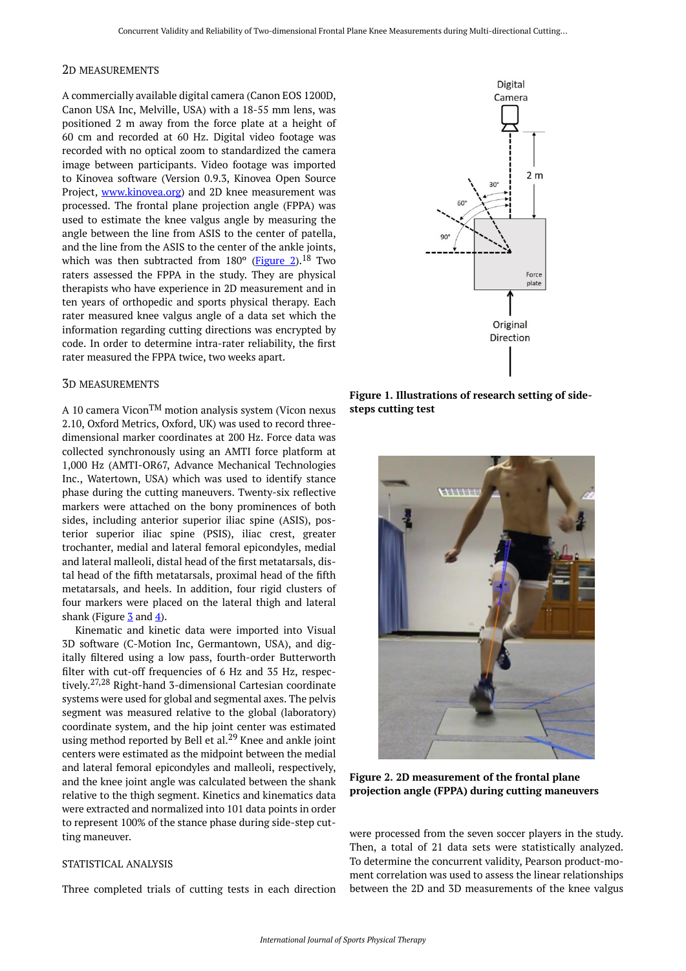#### <span id="page-2-0"></span>2D MEASUREMENTS

A commercially available digital camera (Canon EOS 1200D, Canon USA Inc, Melville, USA) with a 18-55 mm lens, was positioned 2 m away from the force plate at a height of 60 cm and recorded at 60 Hz. Digital video footage was recorded with no optical zoom to standardized the camera image between participants. Video footage was imported to Kinovea software (Version 0.9.3, Kinovea Open Source Project, [www.kinovea.org](http://www.kinovea.org/)) and 2D knee measurement was processed. The frontal plane projection angle (FPPA) was used to estimate the knee valgus angle by measuring the angle between the line from ASIS to the center of patella, and the line from the ASIS to the center of the ankle joints, which was then subtracted from  $180^\circ$  ([Figure 2\)](#page-2-1).<sup>18</sup> Two raters assessed the FPPA in the study. They are physical therapists who have experience in 2D measurement and in ten years of orthopedic and sports physical therapy. Each rater measured knee valgus angle of a data set which the information regarding cutting directions was encrypted by code. In order to determine intra-rater reliability, the first rater measured the FPPA twice, two weeks apart.

## 3D MEASUREMENTS

<span id="page-2-1"></span>A 10 camera ViconTM motion analysis system (Vicon nexus 2.10, Oxford Metrics, Oxford, UK) was used to record threedimensional marker coordinates at 200 Hz. Force data was collected synchronously using an AMTI force platform at 1,000 Hz (AMTI-OR67, Advance Mechanical Technologies Inc., Watertown, USA) which was used to identify stance phase during the cutting maneuvers. Twenty-six reflective markers were attached on the bony prominences of both sides, including anterior superior iliac spine (ASIS), posterior superior iliac spine (PSIS), iliac crest, greater trochanter, medial and lateral femoral epicondyles, medial and lateral malleoli, distal head of the first metatarsals, distal head of the fifth metatarsals, proximal head of the fifth metatarsals, and heels. In addition, four rigid clusters of four markers were placed on the lateral thigh and lateral shank (Figure  $\frac{3}{2}$  $\frac{3}{2}$  $\frac{3}{2}$  and  $\frac{4}{2}$ ).

Kinematic and kinetic data were imported into Visual 3D software (C-Motion Inc, Germantown, USA), and digitally filtered using a low pass, fourth-order Butterworth filter with cut-off frequencies of 6 Hz and 35 Hz, respectively. 27,28 Right-hand 3-dimensional Cartesian coordinate systems were used for global and segmental axes. The pelvis segment was measured relative to the global (laboratory) coordinate system, and the hip joint center was estimated using method reported by Bell et al.<sup>29</sup> Knee and ankle joint centers were estimated as the midpoint between the medial and lateral femoral epicondyles and malleoli, respectively, and the knee joint angle was calculated between the shank relative to the thigh segment. Kinetics and kinematics data were extracted and normalized into 101 data points in order to represent 100% of the stance phase during side-step cutting maneuver.

## STATISTICAL ANALYSIS

Three completed trials of cutting tests in each direction



**Figure 1. Illustrations of research setting of sidesteps cutting test** 



**Figure 2. 2D measurement of the frontal plane projection angle (FPPA) during cutting maneuvers** 

were processed from the seven soccer players in the study. Then, a total of 21 data sets were statistically analyzed. To determine the concurrent validity, Pearson product-moment correlation was used to assess the linear relationships between the 2D and 3D measurements of the knee valgus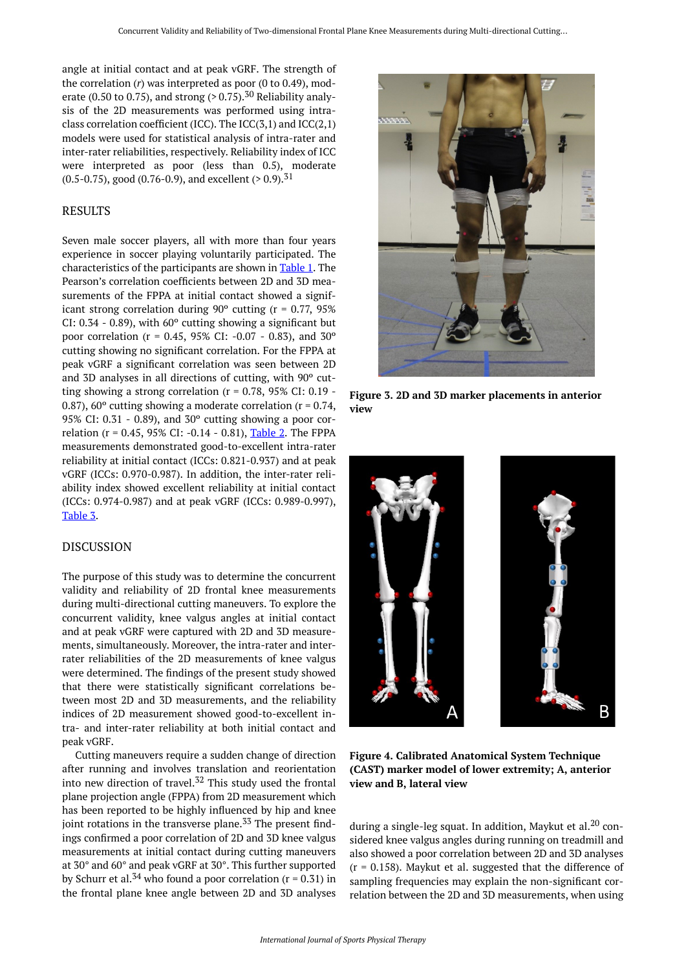<span id="page-3-0"></span>angle at initial contact and at peak vGRF. The strength of the correlation (*r*) was interpreted as poor (0 to 0.49), moderate (0.50 to 0.75), and strong  $(> 0.75)$ ,  $^{30}$  Reliability analysis of the 2D measurements was performed using intraclass correlation coefficient (ICC). The  $ICC(3,1)$  and  $ICC(2,1)$ models were used for statistical analysis of intra-rater and inter-rater reliabilities, respectively. Reliability index of ICC were interpreted as poor (less than 0.5), moderate  $(0.5-0.75)$ , good  $(0.76-0.9)$ , and excellent  $(>0.9)$ .<sup>31</sup>

## RESULTS

Seven male soccer players, all with more than four years experience in soccer playing voluntarily participated. The characteristics of the participants are shown in [Table 1.](#page-4-0) The Pearson's correlation coefficients between 2D and 3D measurements of the FPPA at initial contact showed a significant strong correlation during  $90^{\circ}$  cutting (r = 0.77,  $95\%$ CI:  $0.34 - 0.89$ ), with  $60^{\circ}$  cutting showing a significant but poor correlation (r = 0.45, 95% CI: -0.07 - 0.83), and 30º cutting showing no significant correlation. For the FPPA at peak vGRF a significant correlation was seen between 2D and 3D analyses in all directions of cutting, with 90º cutting showing a strong correlation ( $r = 0.78$ , 95% CI: 0.19 -0.87), 60 $^{\circ}$  cutting showing a moderate correlation (r = 0.74, 95% CI: 0.31 - 0.89), and 30º cutting showing a poor correlation (r = 0.45, 95% CI: -0.14 - 0.81), [Table 2](#page-4-1). The FPPA measurements demonstrated good-to-excellent intra-rater reliability at initial contact (ICCs: 0.821-0.937) and at peak vGRF (ICCs: 0.970-0.987). In addition, the inter-rater reliability index showed excellent reliability at initial contact (ICCs: 0.974-0.987) and at peak vGRF (ICCs: 0.989-0.997), [Table 3.](#page-4-2)

## <span id="page-3-1"></span>DISCUSSION

The purpose of this study was to determine the concurrent validity and reliability of 2D frontal knee measurements during multi-directional cutting maneuvers. To explore the concurrent validity, knee valgus angles at initial contact and at peak vGRF were captured with 2D and 3D measurements, simultaneously. Moreover, the intra-rater and interrater reliabilities of the 2D measurements of knee valgus were determined. The findings of the present study showed that there were statistically significant correlations between most 2D and 3D measurements, and the reliability indices of 2D measurement showed good-to-excellent intra- and inter-rater reliability at both initial contact and peak vGRF.

Cutting maneuvers require a sudden change of direction after running and involves translation and reorientation into new direction of travel. $52$  This study used the frontal plane projection angle (FPPA) from 2D measurement which has been reported to be highly influenced by hip and knee joint rotations in the transverse plane.<sup>33</sup> The present findings confirmed a poor correlation of 2D and 3D knee valgus measurements at initial contact during cutting maneuvers at 30° and 60° and peak vGRF at 30°. This further supported by Schurr et al.<sup>34</sup> who found a poor correlation ( $r = 0.31$ ) in the frontal plane knee angle between 2D and 3D analyses



**Figure 3. 2D and 3D marker placements in anterior view** 



**Figure 4. Calibrated Anatomical System Technique (CAST) marker model of lower extremity; A, anterior view and B, lateral view** 

during a single-leg squat. In addition, Maykut et al. $20$  considered knee valgus angles during running on treadmill and also showed a poor correlation between 2D and 3D analyses  $(r = 0.158)$ . Maykut et al. suggested that the difference of sampling frequencies may explain the non-significant correlation between the 2D and 3D measurements, when using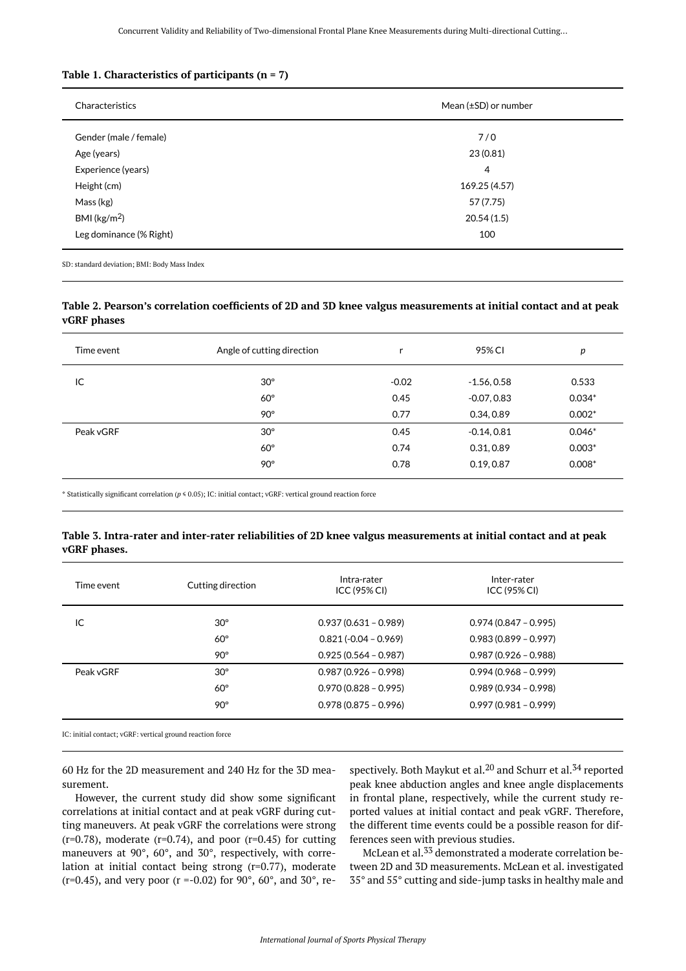#### <span id="page-4-0"></span>**Table 1. Characteristics of participants (n = 7)**

| Characteristics         | Mean $(\pm SD)$ or number |  |
|-------------------------|---------------------------|--|
| Gender (male / female)  | 7/0                       |  |
| Age (years)             | 23 (0.81)                 |  |
| Experience (years)      | 4                         |  |
| Height (cm)             | 169.25 (4.57)             |  |
| Mass (kg)               | 57 (7.75)                 |  |
| BMI ( $\text{kg/m}^2$ ) | 20.54(1.5)                |  |
| Leg dominance (% Right) | 100                       |  |
|                         |                           |  |

SD: standard deviation; BMI: Body Mass Index

## <span id="page-4-1"></span>**Table 2. Pearson's correlation coefficients of 2D and 3D knee valgus measurements at initial contact and at peak vGRF phases**

| Time event | Angle of cutting direction | r       | 95% CI        | p        |
|------------|----------------------------|---------|---------------|----------|
| IC         | $30^\circ$                 | $-0.02$ | $-1.56, 0.58$ | 0.533    |
|            | $60^\circ$                 | 0.45    | $-0.07, 0.83$ | $0.034*$ |
|            | $90^\circ$                 | 0.77    | 0.34, 0.89    | $0.002*$ |
| Peak vGRF  | $30^\circ$                 | 0.45    | $-0.14, 0.81$ | $0.046*$ |
|            | $60^\circ$                 | 0.74    | 0.31,0.89     | $0.003*$ |
|            | $90^\circ$                 | 0.78    | 0.19, 0.87    | $0.008*$ |

\* Statistically significant correlation (*p* ≤ 0.05); IC: initial contact; vGRF: vertical ground reaction force

## <span id="page-4-2"></span>**Table 3. Intra-rater and inter-rater reliabilities of 2D knee valgus measurements at initial contact and at peak vGRF phases.**

| Time event | Cutting direction | Intra-rater<br>ICC (95% CI) | Inter-rater<br>ICC(95% CI) |
|------------|-------------------|-----------------------------|----------------------------|
| IC         | $30^\circ$        | $0.937(0.631 - 0.989)$      | $0.974(0.847 - 0.995)$     |
|            | $60^\circ$        | $0.821(-0.04 - 0.969)$      | $0.983(0.899 - 0.997)$     |
|            | $90^\circ$        | $0.925(0.564 - 0.987)$      | $0.987(0.926 - 0.988)$     |
| Peak vGRF  | $30^\circ$        | $0.987(0.926 - 0.998)$      | $0.994(0.968 - 0.999)$     |
|            | $60^\circ$        | $0.970(0.828 - 0.995)$      | $0.989(0.934 - 0.998)$     |
|            | $90^\circ$        | $0.978(0.875 - 0.996)$      | $0.997(0.981 - 0.999)$     |
|            |                   |                             |                            |

IC: initial contact; vGRF: vertical ground reaction force

60 Hz for the 2D measurement and 240 Hz for the 3D measurement.

However, the current study did show some significant correlations at initial contact and at peak vGRF during cutting maneuvers. At peak vGRF the correlations were strong  $(r=0.78)$ , moderate  $(r=0.74)$ , and poor  $(r=0.45)$  for cutting maneuvers at 90°, 60°, and 30°, respectively, with correlation at initial contact being strong (r=0.77), moderate  $(r=0.45)$ , and very poor  $(r = -0.02)$  for 90 $^{\circ}$ , 60 $^{\circ}$ , and 30 $^{\circ}$ , respectively. Both Maykut et al.<sup>20</sup> and Schurr et al.<sup>34</sup> reported peak knee abduction angles and knee angle displacements in frontal plane, respectively, while the current study reported values at initial contact and peak vGRF. Therefore, the different time events could be a possible reason for differences seen with previous studies.

McLean et al.<sup>33</sup> demonstrated a moderate correlation between 2D and 3D measurements. McLean et al. investigated 35° and 55° cutting and side-jump tasks in healthy male and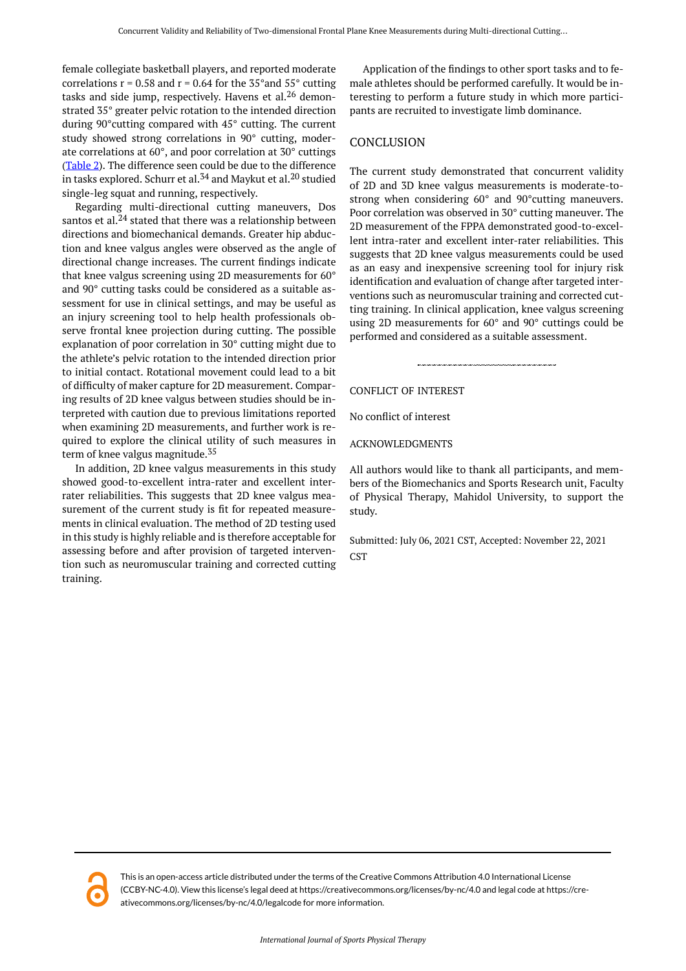female collegiate basketball players, and reported moderate correlations  $r = 0.58$  and  $r = 0.64$  for the 35° and 55° cutting tasks and side jump, respectively. Havens et al. $^{26}$  demonstrated 35° greater pelvic rotation to the intended direction during 90°cutting compared with 45° cutting. The current study showed strong correlations in 90° cutting, moderate correlations at 60°, and poor correlation at 30° cuttings [\(Table 2\)](#page-4-1). The difference seen could be due to the difference in tasks explored. Schurr et al.<sup>34</sup> and Maykut et al.<sup>20</sup> studied single-leg squat and running, respectively.

Regarding multi-directional cutting maneuvers, Dos santos et al. $^{24}$  stated that there was a relationship between directions and biomechanical demands. Greater hip abduction and knee valgus angles were observed as the angle of directional change increases. The current findings indicate that knee valgus screening using 2D measurements for 60° and 90° cutting tasks could be considered as a suitable assessment for use in clinical settings, and may be useful as an injury screening tool to help health professionals observe frontal knee projection during cutting. The possible explanation of poor correlation in 30° cutting might due to the athlete's pelvic rotation to the intended direction prior to initial contact. Rotational movement could lead to a bit of difficulty of maker capture for 2D measurement. Comparing results of 2D knee valgus between studies should be interpreted with caution due to previous limitations reported when examining 2D measurements, and further work is required to explore the clinical utility of such measures in term of knee valgus magnitude.<sup>35</sup>

In addition, 2D knee valgus measurements in this study showed good-to-excellent intra-rater and excellent interrater reliabilities. This suggests that 2D knee valgus measurement of the current study is fit for repeated measurements in clinical evaluation. The method of 2D testing used in this study is highly reliable and is therefore acceptable for assessing before and after provision of targeted intervention such as neuromuscular training and corrected cutting training.

Application of the findings to other sport tasks and to female athletes should be performed carefully. It would be interesting to perform a future study in which more participants are recruited to investigate limb dominance.

## CONCLUSION

The current study demonstrated that concurrent validity of 2D and 3D knee valgus measurements is moderate-tostrong when considering 60° and 90°cutting maneuvers. Poor correlation was observed in 30° cutting maneuver. The 2D measurement of the FPPA demonstrated good-to-excellent intra-rater and excellent inter-rater reliabilities. This suggests that 2D knee valgus measurements could be used as an easy and inexpensive screening tool for injury risk identification and evaluation of change after targeted interventions such as neuromuscular training and corrected cutting training. In clinical application, knee valgus screening using 2D measurements for 60° and 90° cuttings could be performed and considered as a suitable assessment.

## CONFLICT OF INTEREST

No conflict of interest

ACKNOWLEDGMENTS

All authors would like to thank all participants, and members of the Biomechanics and Sports Research unit, Faculty of Physical Therapy, Mahidol University, to support the study.

Submitted: July 06, 2021 CST, Accepted: November 22, 2021 **CST** 

This is an open-access article distributed under the terms of the Creative Commons Attribution 4.0 International License (CCBY-NC-4.0). View this license's legal deed at https://creativecommons.org/licenses/by-nc/4.0 and legal code at https://creativecommons.org/licenses/by-nc/4.0/legalcode for more information.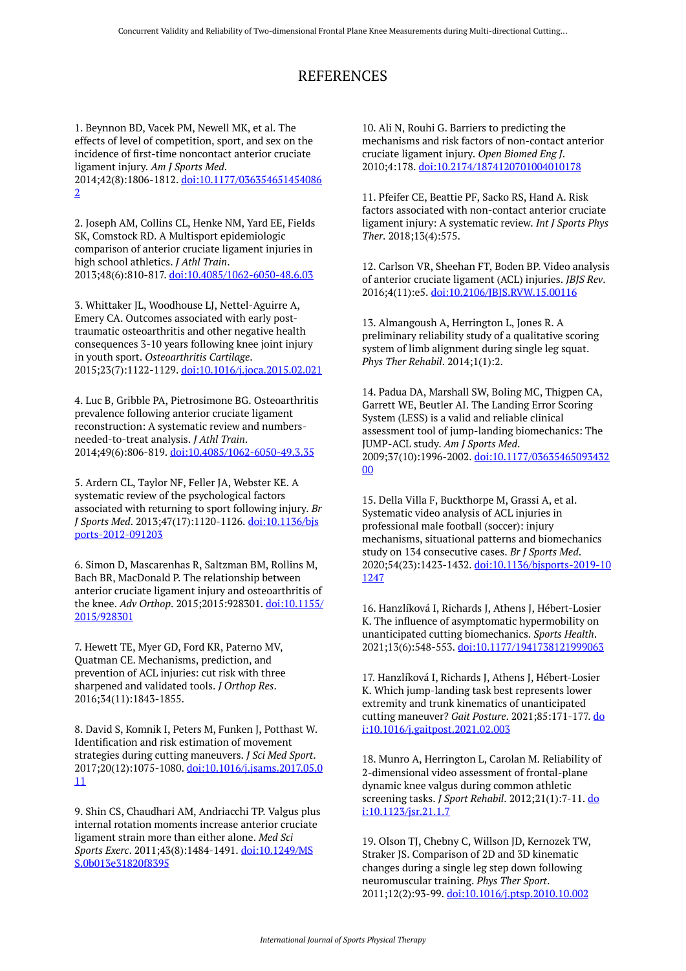# REFERENCES

1. Beynnon BD, Vacek PM, Newell MK, et al. The effects of level of competition, sport, and sex on the incidence of first-time noncontact anterior cruciate ligament injury. *Am J Sports Med*. 2014;42(8):1806-1812. [doi:10.1177/036354651454086](https://doi.org/10.1177/0363546514540862) [2](https://doi.org/10.1177/0363546514540862) 

2. Joseph AM, Collins CL, Henke NM, Yard EE, Fields SK, Comstock RD. A Multisport epidemiologic comparison of anterior cruciate ligament injuries in high school athletics. *J Athl Train*. 2013;48(6):810-817. [doi:10.4085/1062-6050-48.6.03](https://doi.org/10.4085/1062-6050-48.6.03) 

3. Whittaker JL, Woodhouse LJ, Nettel-Aguirre A, Emery CA. Outcomes associated with early posttraumatic osteoarthritis and other negative health consequences 3-10 years following knee joint injury in youth sport. *Osteoarthritis Cartilage*. 2015;23(7):1122-1129. [doi:10.1016/j.joca.2015.02.021](https://doi.org/10.1016/j.joca.2015.02.021) 

4. Luc B, Gribble PA, Pietrosimone BG. Osteoarthritis prevalence following anterior cruciate ligament reconstruction: A systematic review and numbersneeded-to-treat analysis. *J Athl Train*. 2014;49(6):806-819. [doi:10.4085/1062-6050-49.3.35](https://doi.org/10.4085/1062-6050-49.3.35) 

5. Ardern CL, Taylor NF, Feller JA, Webster KE. A systematic review of the psychological factors associated with returning to sport following injury. *Br J Sports Med*. 2013;47(17):1120-1126. [doi:10.1136/bjs](https://doi.org/10.1136/bjsports-2012-091203) [ports-2012-091203](https://doi.org/10.1136/bjsports-2012-091203)

6. Simon D, Mascarenhas R, Saltzman BM, Rollins M, Bach BR, MacDonald P. The relationship between anterior cruciate ligament injury and osteoarthritis of the knee. *Adv Orthop*. 2015;2015:928301. [doi:10.1155/](https://doi.org/10.1155/2015/928301) [2015/928301](https://doi.org/10.1155/2015/928301) 

7. Hewett TE, Myer GD, Ford KR, Paterno MV, Quatman CE. Mechanisms, prediction, and prevention of ACL injuries: cut risk with three sharpened and validated tools. *J Orthop Res*. 2016;34(11):1843-1855.

8. David S, Komnik I, Peters M, Funken J, Potthast W. Identification and risk estimation of movement strategies during cutting maneuvers. *J Sci Med Sport*. 2017;20(12):1075-1080. [doi:10.1016/j.jsams.2017.05.0](https://doi.org/10.1016/j.jsams.2017.05.011) [11](https://doi.org/10.1016/j.jsams.2017.05.011)

9. Shin CS, Chaudhari AM, Andriacchi TP. Valgus plus internal rotation moments increase anterior cruciate ligament strain more than either alone. *Med Sci Sports Exerc*. 2011;43(8):1484-1491. [doi:10.1249/MS](https://doi.org/10.1249/MSS.0b013e31820f8395) [S.0b013e31820f8395](https://doi.org/10.1249/MSS.0b013e31820f8395)

10. Ali N, Rouhi G. Barriers to predicting the mechanisms and risk factors of non-contact anterior cruciate ligament injury. *Open Biomed Eng J*. 2010;4:178. [doi:10.2174/1874120701004010178](https://doi.org/10.2174/1874120701004010178) 

11. Pfeifer CE, Beattie PF, Sacko RS, Hand A. Risk factors associated with non-contact anterior cruciate ligament injury: A systematic review. *Int J Sports Phys Ther*. 2018;13(4):575.

12. Carlson VR, Sheehan FT, Boden BP. Video analysis of anterior cruciate ligament (ACL) injuries. *JBJS Rev*. 2016;4(11):e5. [doi:10.2106/JBJS.RVW.15.00116](https://doi.org/10.2106/JBJS.RVW.15.00116) 

13. Almangoush A, Herrington L, Jones R. A preliminary reliability study of a qualitative scoring system of limb alignment during single leg squat. *Phys Ther Rehabil*. 2014;1(1):2.

14. Padua DA, Marshall SW, Boling MC, Thigpen CA, Garrett WE, Beutler AI. The Landing Error Scoring System (LESS) is a valid and reliable clinical assessment tool of jump-landing biomechanics: The JUMP-ACL study. *Am J Sports Med*. 2009;37(10):1996-2002. [doi:10.1177/03635465093432](https://doi.org/10.1177/0363546509343200) [00](https://doi.org/10.1177/0363546509343200)

15. Della Villa F, Buckthorpe M, Grassi A, et al. Systematic video analysis of ACL injuries in professional male football (soccer): injury mechanisms, situational patterns and biomechanics study on 134 consecutive cases. *Br J Sports Med*. 2020;54(23):1423-1432. [doi:10.1136/bjsports-2019-10](https://doi.org/10.1136/bjsports-2019-101247) [1247](https://doi.org/10.1136/bjsports-2019-101247) 

16. Hanzlíková I, Richards J, Athens J, Hébert-Losier K. The influence of asymptomatic hypermobility on unanticipated cutting biomechanics. *Sports Health*. 2021;13(6):548-553. [doi:10.1177/1941738121999063](https://doi.org/10.1177/1941738121999063)

17. Hanzlíková I, Richards J, Athens J, Hébert-Losier K. Which jump-landing task best represents lower extremity and trunk kinematics of unanticipated cutting maneuver? *Gait Posture*. 2021;85:171-177. [do](https://doi.org/10.1016/j.gaitpost.2021.02.003) [i:10.1016/j.gaitpost.2021.02.003](https://doi.org/10.1016/j.gaitpost.2021.02.003) 

18. Munro A, Herrington L, Carolan M. Reliability of 2-dimensional video assessment of frontal-plane dynamic knee valgus during common athletic screening tasks. *J Sport Rehabil*. 2012;21(1):7-11. [do](https://doi.org/10.1123/jsr.21.1.7) [i:10.1123/jsr.21.1.7](https://doi.org/10.1123/jsr.21.1.7) 

19. Olson TJ, Chebny C, Willson JD, Kernozek TW, Straker JS. Comparison of 2D and 3D kinematic changes during a single leg step down following neuromuscular training. *Phys Ther Sport*. 2011;12(2):93-99. [doi:10.1016/j.ptsp.2010.10.002](https://doi.org/10.1016/j.ptsp.2010.10.002)